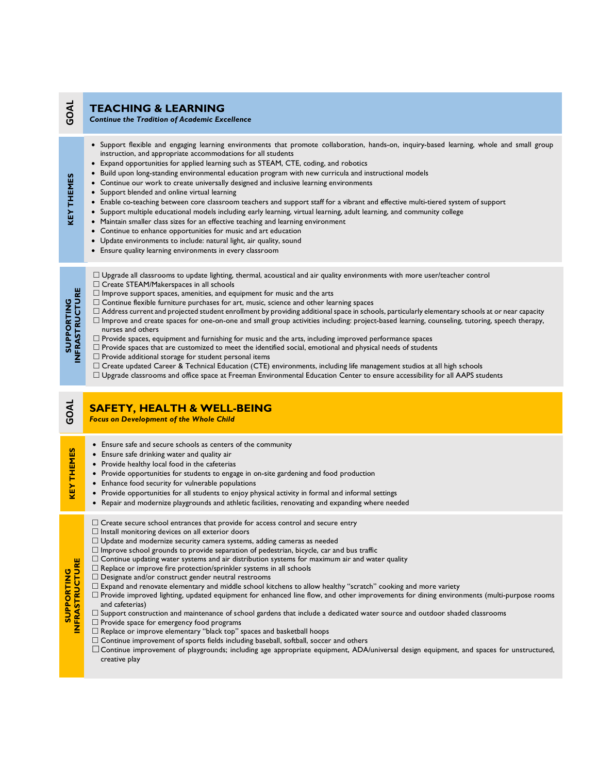## **TEACHING & LEARNING :**

**GOAL**

*Continue the Tradition of Academic Excellence*

instruction, and appropriate accommodations for all students • Expand opportunities for applied learning such as STEAM, CTE, coding, and robotics • Build upon long-standing environmental education program with new curricula and instructional models **KEY THEMES KEY THEMES** • Continue our work to create universally designed and inclusive learning environments Support blended and online virtual learning • Enable co-teaching between core classroom teachers and support staff for a vibrant and effective multi-tiered system of support Support multiple educational models including early learning, virtual learning, adult learning, and community college • Maintain smaller class sizes for an effective teaching and learning environment • Continue to enhance opportunities for music and art education • Update environments to include: natural light, air quality, sound • Ensure quality learning environments in every classroom  $\Box$  Upgrade all classrooms to update lighting, thermal, acoustical and air quality environments with more user/teacher control □ Create STEAM/Makerspaces in all schools **SUPPORTING<br>INFRASTRUCTURE INFRASTRUCTURE**  $\square$  Improve support spaces, amenities, and equipment for music and the arts **SUPPORTING**   $\square$  Continue flexible furniture purchases for art, music, science and other learning spaces  $\Box$  Address current and projected student enrollment by providing additional space in schools, particularly elementary schools at or near capacity  $\Box$  Improve and create spaces for one-on-one and small group activities including: project-based learning, counseling, tutoring, speech therapy, nurses and others  $\Box$  Provide spaces, equipment and furnishing for music and the arts, including improved performance spaces  $\Box$  Provide spaces that are customized to meet the identified social, emotional and physical needs of students  $\square$  Provide additional storage for student personal items  $\Box$  Create updated Career & Technical Education (CTE) environments, including life management studios at all high schools £ Upgrade classrooms and office space at Freeman Environmental Education Center to ensure accessibility for all AAPS students **GOAL SAFETY, HEALTH & WELL-BEING :** *Focus on Development of the Whole Child* • Ensure safe and secure schools as centers of the community **KEY THEMES KEY THEMES** • Ensure safe drinking water and quality air • Provide healthy local food in the cafeterias • Provide opportunities for students to engage in on-site gardening and food production • Enhance food security for vulnerable populations • Provide opportunities for all students to enjoy physical activity in formal and informal settings • Repair and modernize playgrounds and athletic facilities, renovating and expanding where needed  $\square$  Create secure school entrances that provide for access control and secure entry  $\square$  Install monitoring devices on all exterior doors  $\square$  Update and modernize security camera systems, adding cameras as needed  $\square$  Improve school grounds to provide separation of pedestrian, bicycle, car and bus traffic  $\square$  Continue updating water systems and air distribution systems for maximum air and water quality SUPPORTING<br>NFRASTRUCTURE  $\square$  Replace or improve fire protection/sprinkler systems in all schools  $\square$  Designate and/or construct gender neutral restrooms  $\Box$  Expand and renovate elementary and middle school kitchens to allow healthy "scratch" cooking and more variety £ Provide improved lighting, updated equipment for enhanced line flow, and other improvements for dining environments (multi-purpose rooms and cafeterias)  $\Box$  Support construction and maintenance of school gardens that include a dedicated water source and outdoor shaded classrooms  $\square$  Provide space for emergency food programs  $\square$  Replace or improve elementary "black top" spaces and basketball hoops  $\Box$  Continue improvement of sports fields including baseball, softball, soccer and others £Continue improvement of playgrounds; including age appropriate equipment, ADA/universal design equipment, and spaces for unstructured, creative play

• Support flexible and engaging learning environments that promote collaboration, hands-on, inquiry-based learning, whole and small group